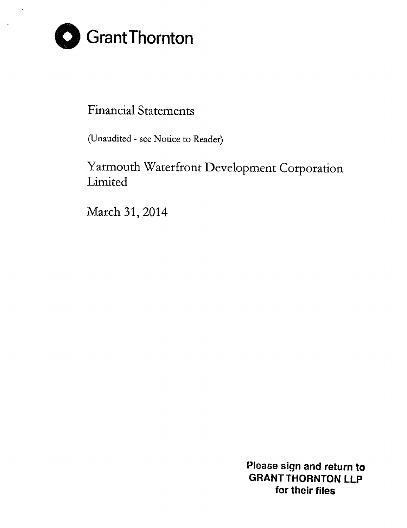

### Financial Statements

(Unaudited - see Notice to Reader)

## Yarmouth Waterfront Development Corporation Limited

March 31, 2014

Please sign and return to GRANT THORNTON LLP for their files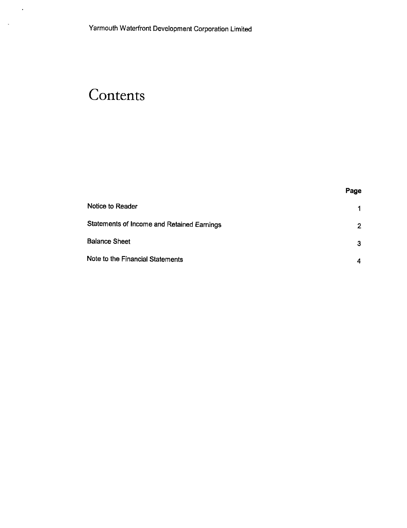# **Contents**

 $\ddot{\phantom{1}}$ 

 $\sim 10$ 

|                                            | Page                 |
|--------------------------------------------|----------------------|
| Notice to Reader                           | $\blacktriangleleft$ |
| Statements of Income and Retained Earnings | $\overline{2}$       |
| Balance Sheet                              | 3                    |
| Note to the Financial Statements           | 4                    |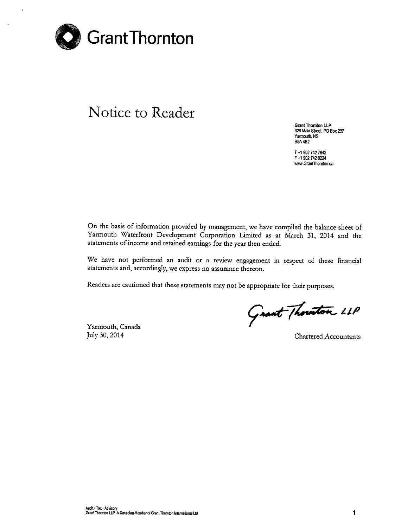

## Notice to Reader

Grant Thornton LLP 328 Main Street, PO Box 297 Yarmouth. NS BSA482

T +1 902 742 7842 F+19027420224 www.GrantThomton.ca

On the basis of information provided by management, we have compiled the balance sheet of Yarmouth Waterfront Development Corporation Limited as at March 31, 2014 and the statements of income and retained earnings for the year then ended.

We have not performed an audit or a review engagement in respect of these financial statements and, accordingly, we express no assurance thereon.

Readers are cautioned that these statements may not be appropriate for their purposes.

Yarmouth, Canada July 30, 2014 Chartered Accountants

Grant Thouston LLP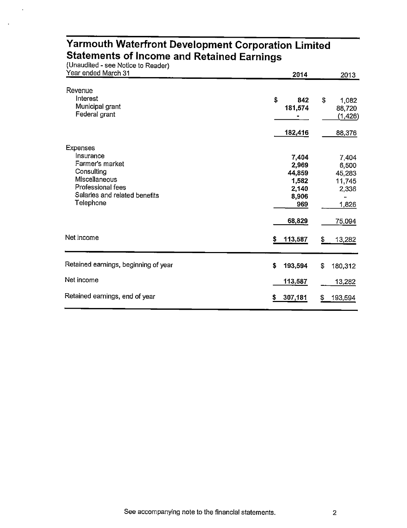| Year ended March 31                                                                                                                               | 2014                                                       | 2013                                                              |
|---------------------------------------------------------------------------------------------------------------------------------------------------|------------------------------------------------------------|-------------------------------------------------------------------|
| Revenue<br>Interest<br>Municipal grant<br>Federal grant                                                                                           | \$<br>842<br>181,574                                       | S<br>1,082<br>88,720<br>(1,426)                                   |
|                                                                                                                                                   | 182,416                                                    | 88,376                                                            |
| <b>Expenses</b><br>Insurance<br>Farmer's market<br>Consulting<br>Miscellaneous<br>Professional fees<br>Salaries and related benefits<br>Telephone | 7,404<br>2,969<br>44,859<br>1,582<br>2,140<br>8,906<br>969 | 7,404<br>6,500<br>45,283<br>11,745<br>2,336<br>$\ddot{}$<br>1,826 |
| Net income                                                                                                                                        | 68,829<br>113,587<br>\$                                    | 75,094<br>\$<br>13,282                                            |
| Retained earnings, beginning of year                                                                                                              | \$<br>193,594                                              | \$<br>180,312                                                     |
| Net income                                                                                                                                        | 113,587                                                    | 13,282                                                            |
| Retained earnings, end of year                                                                                                                    | 307,181<br>\$                                              | 193,594<br>\$                                                     |

#### **Yarmouth Waterfront Development Corporation Limited Statements of Income and Retained Earnings** (Unaudited - see Notice to Reader)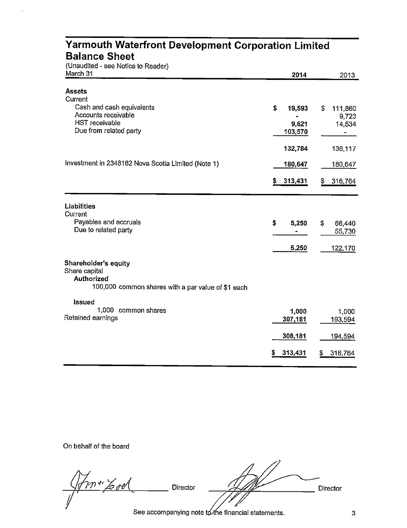| Yarmouth Waterfront Development Corporation Limited<br><b>Balance Sheet</b><br>(Unaudited - see Notice to Reader) |                                  |                                                                  |
|-------------------------------------------------------------------------------------------------------------------|----------------------------------|------------------------------------------------------------------|
| March 31                                                                                                          | 2014                             | 2013                                                             |
| <b>Assets</b><br>Current                                                                                          |                                  |                                                                  |
| Cash and cash equivalents<br>Accounts receivable<br>HST receivable<br>Due from related party                      | \$<br>19,593<br>9,621<br>103,570 | \$<br>111,860<br>9,723<br>14,534<br>$\qquad \qquad \blacksquare$ |
|                                                                                                                   | 132,784                          | 136,117                                                          |
| Investment in 2348162 Nova Scotia Limited (Note 1)                                                                | 180,647                          | 180,647                                                          |
|                                                                                                                   | 313,431<br>S.                    | 316,764<br>S.                                                    |
| <b>Liabilities</b><br>Current                                                                                     |                                  |                                                                  |
| Payables and accruals<br>Due to related party                                                                     | \$<br>5,250                      | \$<br>66,440<br>55,730                                           |
|                                                                                                                   | 5,250                            | 122,170                                                          |
| Shareholder's equity<br>Share capital<br><b>Authorized</b><br>100,000 common shares with a par value of \$1 each  |                                  |                                                                  |
| <b>Issued</b><br>1,000 common shares<br>Retained earnings                                                         | 1,000<br>307,181                 | 1,000<br>193,594                                                 |
|                                                                                                                   | 308,181                          | <u>194,594</u>                                                   |
|                                                                                                                   | 313,431                          | 316,764<br>5                                                     |

On behalf of the board

*<sup>~</sup> -t'kd* Director ~e:-= Director *I , - //I/.*

See accompanying note to the financial statements.  $\frac{3}{4}$